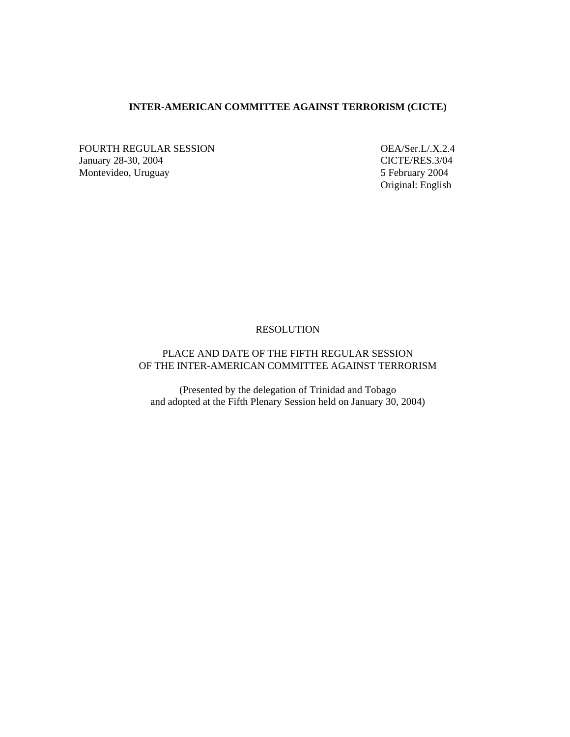## **INTER-AMERICAN COMMITTEE AGAINST TERRORISM (CICTE)**

FOURTH REGULAR SESSION OEA/Ser.L/.X.2.4 January 28-30, 2004 CICTE/RES.3/04 Montevideo, Uruguay 5 February 2004

Original: English

### RESOLUTION

# PLACE AND DATE OF THE FIFTH REGULAR SESSION OF THE INTER-AMERICAN COMMITTEE AGAINST TERRORISM

(Presented by the delegation of Trinidad and Tobago and adopted at the Fifth Plenary Session held on January 30, 2004)